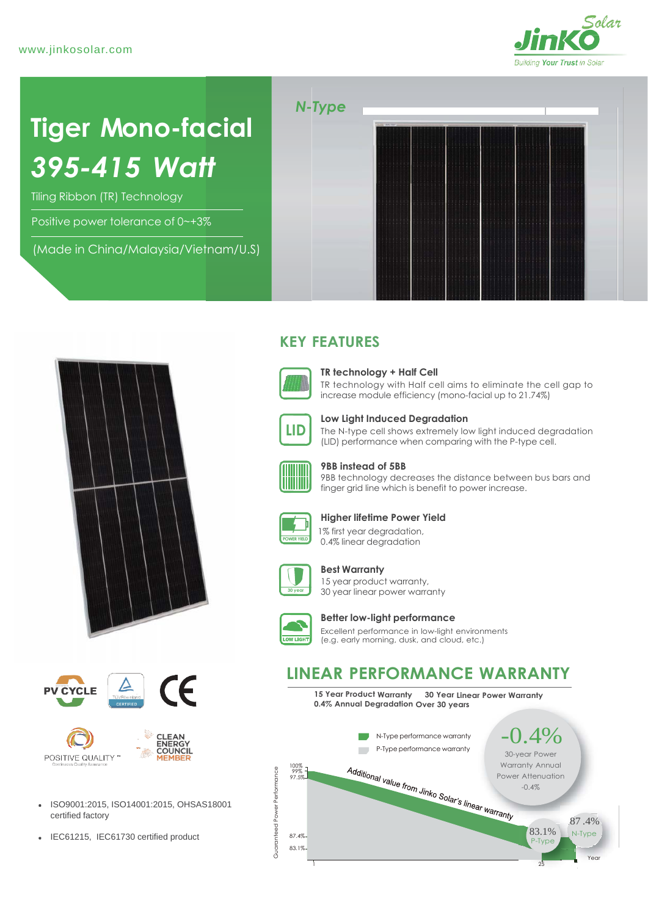

# **Tiger Mono-facial** *395-415 Watt*

Tiling Ribbon (TR) Technology

Positive power tolerance of 0~+3%

(Made in China/Malaysia/Vietnam/U.S)







**POSITIVE QUALITY** 



COUNCIL

MEMBEF

• IEC61215, IEC61730 certified product  $\frac{8}{5}$  87.4%

## **KEY FEATURES**



### **TR technology + Half Cell**

TR technology with Half cell aims to eliminate the cell gap to increase module efficiency (mono-facial up to 21.74%)



**Low Light Induced Degradation**

The N-type cell shows extremely low light induced degradation (LID) performance when comparing with the P-type cell.



#### **9BB instead of 5BB**

9BB technology decreases the distance between bus bars and finger grid line which is benefit to power increase.



#### **Higher lifetime Power Yield**

 1% first year degradation, 0.4% linear degradation



#### **Best Warranty**

15 year product warranty, 30 year linear power warranty



#### **Better low-light performance**

Excellent performance in low-light environments (e.g. early morning, dusk, and cloud, etc.)

## **LINEAR PERFORMANCE WARRANTY**

**15 Year Product Warranty 30 Year Linear Power Warranty 0.4% Annual Degradation Over 30 years**